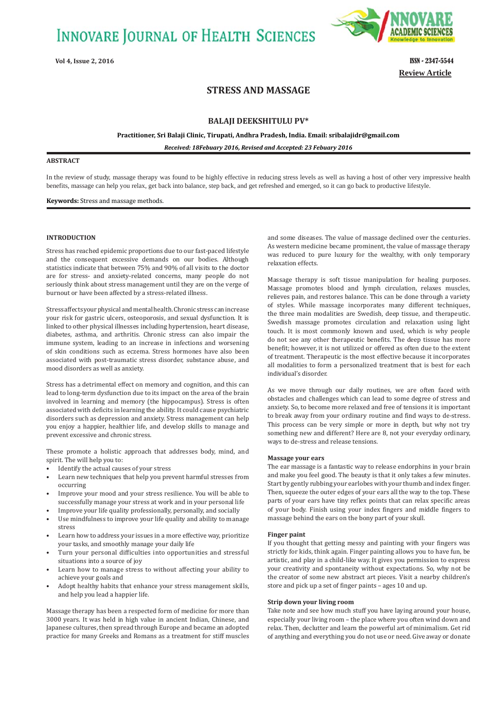**INNOVARE JOURNAL OF HEALTH SCIENCES** 



**Vol 4, Issue 2, 2016 ISSN - 2347-5544 Review Article**

# **STRESS AND MASSAGE**

## **BALAJI DEEKSHITULU PV\***

**Practitioner, Sri Balaji Clinic, Tirupati, Andhra Pradesh, India. Email: sribalajidr@gmail.com**

*Received: 18Febuary 2016, Revised and Accepted: 23 Febuary 2016*

### **ABSTRACT**

In the review of study, massage therapy was found to be highly effective in reducing stress levels as well as having a host of other very impressive health benefits, massage can help you relax, get back into balance, step back, and get refreshed and emerged, so it can go back to productive lifestyle.

**Keywords:** Stress and massage methods.

## **INTRODUCTION**

Stress has reached epidemic proportions due to our fast-paced lifestyle and the consequent excessive demands on our bodies. Although statistics indicate that between 75% and 90% of all visits to the doctor are for stress- and anxiety-related concerns, many people do not seriously think about stress management until they are on the verge of burnout or have been affected by a stress-related illness.

Stress affects your physical and mental health. Chronic stress can increase your risk for gastric ulcers, osteoporosis, and sexual dysfunction. It is linked to other physical illnesses including hypertension, heart disease, diabetes, asthma, and arthritis. Chronic stress can also impair the immune system, leading to an increase in infections and worsening of skin conditions such as eczema. Stress hormones have also been associated with post-traumatic stress disorder, substance abuse, and mood disorders as well as anxiety.

Stress has a detrimental effect on memory and cognition, and this can lead to long-term dysfunction due to its impact on the area of the brain involved in learning and memory (the hippocampus). Stress is often associated with deficits in learning the ability. It could cause psychiatric disorders such as depression and anxiety. Stress management can help you enjoy a happier, healthier life, and develop skills to manage and prevent excessive and chronic stress.

These promote a holistic approach that addresses body, mind, and spirit. The will help you to:

- Identify the actual causes of your stress
- Learn new techniques that help you prevent harmful stresses from occurring
- Improve your mood and your stress resilience. You will be able to successfully manage your stress at work and in your personal life
- Improve your life quality professionally, personally, and socially
- Use mindfulness to improve your life quality and ability to manage stress
- Learn how to address your issues in a more effective way, prioritize your tasks, and smoothly manage your daily life
- Turn your personal difficulties into opportunities and stressful situations into a source of joy
- Learn how to manage stress to without affecting your ability to achieve your goals and
- Adopt healthy habits that enhance your stress management skills, and help you lead a happier life.

Massage therapy has been a respected form of medicine for more than 3000 years. It was held in high value in ancient Indian, Chinese, and Japanese cultures, then spread through Europe and became an adopted practice for many Greeks and Romans as a treatment for stiff muscles and some diseases. The value of massage declined over the centuries. As western medicine became prominent, the value of massage therapy was reduced to pure luxury for the wealthy, with only temporary relaxation effects.

Massage therapy is soft tissue manipulation for healing purposes. Massage promotes blood and lymph circulation, relaxes muscles, relieves pain, and restores balance. This can be done through a variety of styles. While massage incorporates many different techniques, the three main modalities are Swedish, deep tissue, and therapeutic. Swedish massage promotes circulation and relaxation using light touch. It is most commonly known and used, which is why people do not see any other therapeutic benefits. The deep tissue has more benefit; however, it is not utilized or offered as often due to the extent of treatment. Therapeutic is the most effective because it incorporates all modalities to form a personalized treatment that is best for each individual's disorder.

As we move through our daily routines, we are often faced with obstacles and challenges which can lead to some degree of stress and anxiety. So, to become more relaxed and free of tensions it is important to break away from your ordinary routine and find ways to de-stress. This process can be very simple or more in depth, but why not try something new and different? Here are 8, not your everyday ordinary, ways to de-stress and release tensions.

### **Massage your ears**

The ear massage is a fantastic way to release endorphins in your brain and make you feel good. The beauty is that it only takes a few minutes. Start by gently rubbing your earlobes with your thumb and index finger. Then, squeeze the outer edges of your ears all the way to the top. These parts of your ears have tiny reflex points that can relax specific areas of your body. Finish using your index fingers and middle fingers to massage behind the ears on the bony part of your skull.

#### **Finger paint**

If you thought that getting messy and painting with your fingers was strictly for kids, think again. Finger painting allows you to have fun, be artistic, and play in a child-like way. It gives you permission to express your creativity and spontaneity without expectations. So, why not be the creator of some new abstract art pieces. Visit a nearby children's store and pick up a set of finger paints – ages 10 and up.

### **Strip down your living room**

Take note and see how much stuff you have laying around your house, especially your living room – the place where you often wind down and relax. Then, declutter and learn the powerful art of minimalism. Get rid of anything and everything you do not use or need. Give away or donate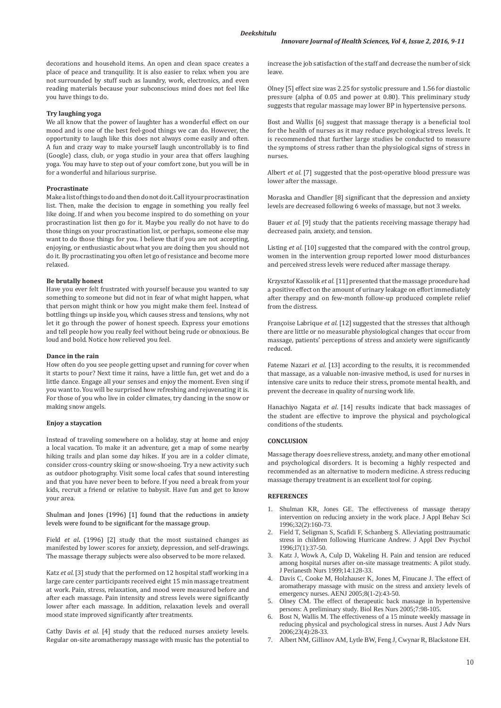decorations and household items. An open and clean space creates a place of peace and tranquility. It is also easier to relax when you are not surrounded by stuff such as laundry, work, electronics, and even reading materials because your subconscious mind does not feel like you have things to do.

### **Try laughing yoga**

We all know that the power of laughter has a wonderful effect on our mood and is one of the best feel-good things we can do. However, the opportunity to laugh like this does not always come easily and often. A fun and crazy way to make yourself laugh uncontrollably is to find (Google) class, club, or yoga studio in your area that offers laughing yoga. You may have to step out of your comfort zone, but you will be in for a wonderful and hilarious surprise.

#### **Procrastinate**

Make a list of things to do and then do not do it. Call it your procrastination list. Then, make the decision to engage in something you really feel like doing. If and when you become inspired to do something on your procrastination list then go for it. Maybe you really do not have to do those things on your procrastination list, or perhaps, someone else may want to do those things for you. I believe that if you are not accepting, enjoying, or enthusiastic about what you are doing then you should not do it. By procrastinating you often let go of resistance and become more relaxed.

#### **Be brutally honest**

Have you ever felt frustrated with yourself because you wanted to say something to someone but did not in fear of what might happen, what that person might think or how you might make them feel. Instead of bottling things up inside you, which causes stress and tensions, why not let it go through the power of honest speech. Express your emotions and tell people how you really feel without being rude or obnoxious. Be loud and bold. Notice how relieved you feel.

#### **Dance in the rain**

How often do you see people getting upset and running for cover when it starts to pour? Next time it rains, have a little fun, get wet and do a little dance. Engage all your senses and enjoy the moment. Even sing if you want to. You will be surprised how refreshing and rejuvenating it is. For those of you who live in colder climates, try dancing in the snow or making snow angels.

## **Enjoy a staycation**

Instead of traveling somewhere on a holiday, stay at home and enjoy a local vacation. To make it an adventure, get a map of some nearby hiking trails and plan some day hikes. If you are in a colder climate, consider cross-country skiing or snow-shoeing. Try a new activity such as outdoor photography. Visit some local cafes that sound interesting and that you have never been to before. If you need a break from your kids, recruit a friend or relative to babysit. Have fun and get to know your area.

Shulman and Jones (1996) [1] found that the reductions in anxiety levels were found to be significant for the massage group.

Field *et al.* (1996) [2] study that the most sustained changes as manifested by lower scores for anxiety, depression, and self-drawings. The massage therapy subjects were also observed to be more relaxed.

Katz *et al.* [3] study that the performed on 12 hospital staff working in a large care center participants received eight 15 min massage treatment at work. Pain, stress, relaxation, and mood were measured before and after each massage. Pain intensity and stress levels were significantly lower after each massage. In addition, relaxation levels and overall mood state improved significantly after treatments.

Cathy Davis *et al.* [4] study that the reduced nurses anxiety levels. Regular on-site aromatherapy massage with music has the potential to increase the job satisfaction of the staff and decrease the number of sick leave.

Olney [5] effect size was 2.25 for systolic pressure and 1.56 for diastolic pressure (alpha of 0.05 and power at 0.80). This preliminary study suggests that regular massage may lower BP in hypertensive persons.

Bost and Wallis [6] suggest that massage therapy is a beneficial tool for the health of nurses as it may reduce psychological stress levels. It is recommended that further large studies be conducted to measure the symptoms of stress rather than the physiological signs of stress in nurses.

Albert *et al.* [7] suggested that the post-operative blood pressure was lower after the massage.

Moraska and Chandler [8] significant that the depression and anxiety levels are decreased following 6 weeks of massage, but not 3 weeks.

Bauer *et al*. [9] study that the patients receiving massage therapy had decreased pain, anxiety, and tension.

Listing *et al.* [10] suggested that the compared with the control group, women in the intervention group reported lower mood disturbances and perceived stress levels were reduced after massage therapy.

Krzysztof Kassolik *et al*. [11] presented that the massage procedure had a positive effect on the amount of urinary leakage on effort immediately after therapy and on few-month follow-up produced complete relief from the distress.

Françoise Labrique *et al*. [12] suggested that the stresses that although there are little or no measurable physiological changes that occur from massage, patients' perceptions of stress and anxiety were significantly reduced.

Fateme Nazari *et al*. [13] according to the results, it is recommended that massage, as a valuable non-invasive method, is used for nurses in intensive care units to reduce their stress, promote mental health, and prevent the decrease in quality of nursing work life.

Hanachiyo Nagata *et al*. [14] results indicate that back massages of the student are effective to improve the physical and psychological conditions of the students.

#### **CONCLUSION**

Massage therapy does relieve stress, anxiety, and many other emotional and psychological disorders. It is becoming a highly respected and recommended as an alternative to modern medicine. A stress reducing massage therapy treatment is an excellent tool for coping.

#### **REFERENCES**

- 1. Shulman KR, Jones GE. The effectiveness of massage therapy intervention on reducing anxiety in the work place. J Appl Behav Sci 1996;32(2):160-73.
- 2. Field T, Seligman S, Scafidi F, Schanberg S. Alleviating posttraumatic stress in children following Hurricane Andrew. J Appl Dev Psychol 1996;l7(1):37-50.
- 3. Katz J, Wowk A, Culp D, Wakeling H. Pain and tension are reduced among hospital nurses after on-site massage treatments: A pilot study. J Perianesth Nurs 1999;14:128-33.
- 4. Davis C, Cooke M, Holzhauser K, Jones M, Finucane J. The effect of aromatherapy massage with music on the stress and anxiety levels of emergency nurses. AENJ 2005;8(1-2):43-50.
- 5. Olney CM. The effect of therapeutic back massage in hypertensive persons: A preliminary study. Biol Res Nurs 2005;7:98-105.
- 6. Bost N, Wallis M. The effectiveness of a 15 minute weekly massage in reducing physical and psychological stress in nurses. Aust J Adv Nurs 2006;23(4):28-33.
- 7. Albert NM, Gillinov AM, Lytle BW, Feng J, Cwynar R, Blackstone EH.